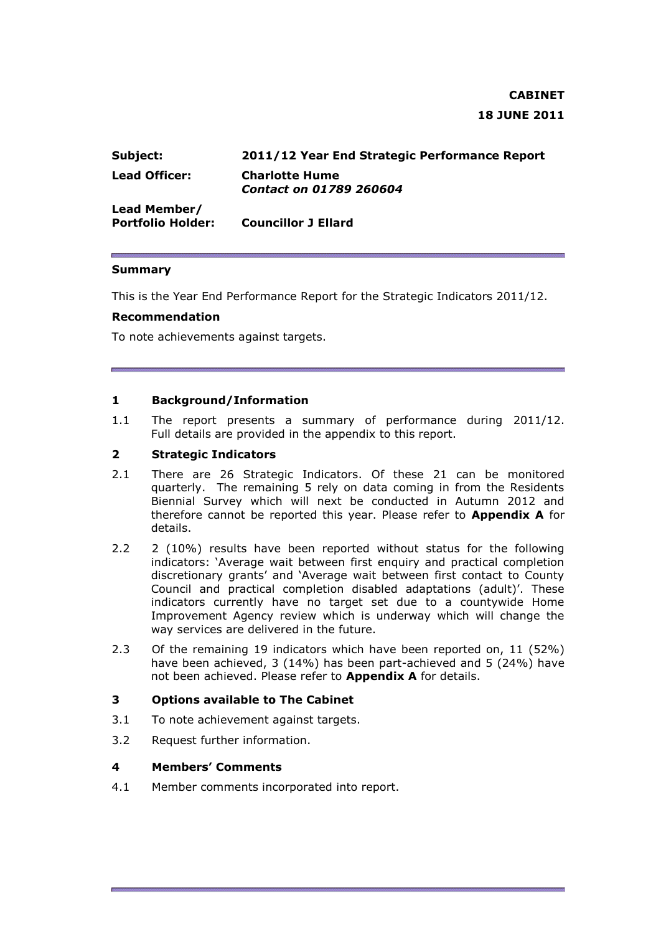# **CABINET 18 JUNE 2011**

| Subject:                                 | 2011/12 Year End Strategic Performance Report           |
|------------------------------------------|---------------------------------------------------------|
| Lead Officer:                            | <b>Charlotte Hume</b><br><b>Contact on 01789 260604</b> |
| Lead Member/<br><b>Portfolio Holder:</b> | <b>Councillor J Ellard</b>                              |

#### **Summary**

This is the Year End Performance Report for the Strategic Indicators 2011/12.

#### **Recommendation**

To note achievements against targets.

#### **1 Background/Information**

1.1 The report presents a summary of performance during 2011/12. Full details are provided in the appendix to this report.

### **2 Strategic Indicators**

- 2.1 There are 26 Strategic Indicators. Of these 21 can be monitored quarterly. The remaining 5 rely on data coming in from the Residents Biennial Survey which will next be conducted in Autumn 2012 and therefore cannot be reported this year. Please refer to **Appendix A** for details.
- 2.2 2 (10%) results have been reported without status for the following indicators: 'Average wait between first enquiry and practical completion discretionary grants' and 'Average wait between first contact to County Council and practical completion disabled adaptations (adult)'. These indicators currently have no target set due to a countywide Home Improvement Agency review which is underway which will change the way services are delivered in the future.
- 2.3 Of the remaining 19 indicators which have been reported on, 11 (52%) have been achieved, 3 (14%) has been part-achieved and 5 (24%) have not been achieved. Please refer to **Appendix A** for details.

### **3 Options available to The Cabinet**

- 3.1 To note achievement against targets.
- 3.2 Request further information.

#### **4 Members' Comments**

4.1 Member comments incorporated into report.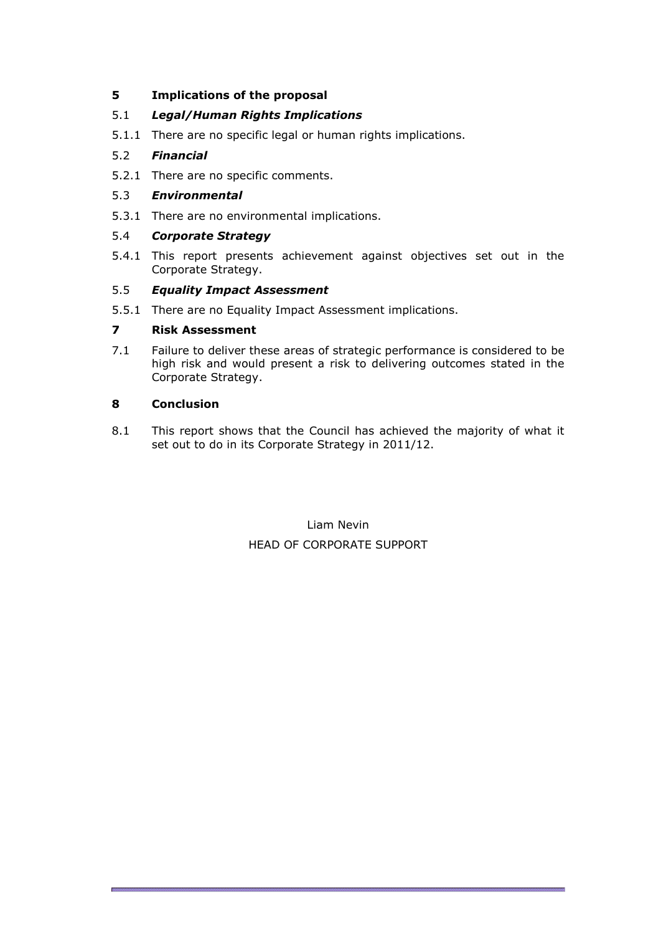# **5 Implications of the proposal**

# 5.1 *Legal/Human Rights Implications*

5.1.1 There are no specific legal or human rights implications.

# 5.2 *Financial*

5.2.1 There are no specific comments.

# 5.3 *Environmental*

5.3.1 There are no environmental implications.

# 5.4 *Corporate Strategy*

5.4.1 This report presents achievement against objectives set out in the Corporate Strategy.

# 5.5 *Equality Impact Assessment*

5.5.1 There are no Equality Impact Assessment implications.

# **7 Risk Assessment**

7.1 Failure to deliver these areas of strategic performance is considered to be high risk and would present a risk to delivering outcomes stated in the Corporate Strategy.

# **8 Conclusion**

8.1 This report shows that the Council has achieved the majority of what it set out to do in its Corporate Strategy in 2011/12.

> Liam Nevin HEAD OF CORPORATE SUPPORT